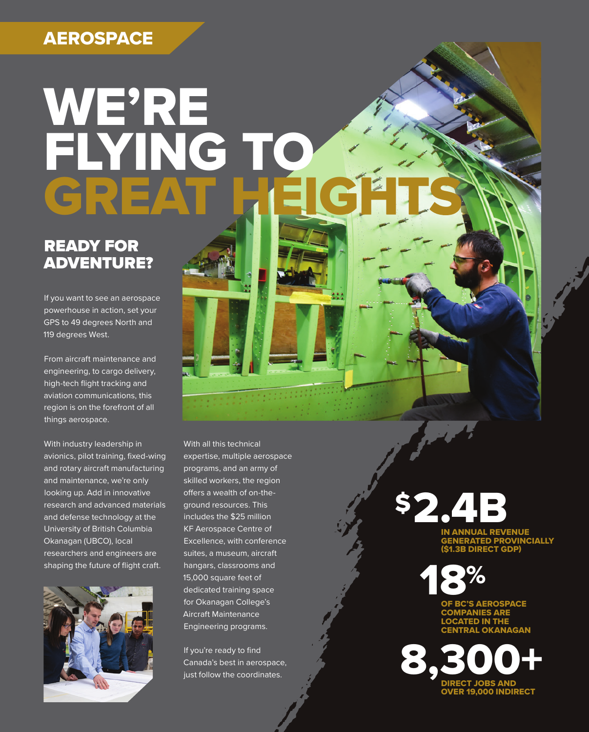## **AEROSPACE**

# WE'RE FLYING TO IC<sub>E</sub>

## READY FOR ADVENTURE?

If you want to see an aerospace powerhouse in action, set your GPS to 49 degrees North and 119 degrees West.

From aircraft maintenance and engineering, to cargo delivery, high-tech flight tracking and aviation communications, this region is on the forefront of all things aerospace.

With industry leadership in avionics, pilot training, fixed-wing and rotary aircraft manufacturing and maintenance, we're only looking up. Add in innovative research and advanced materials and defense technology at the University of British Columbia Okanagan (UBCO), local researchers and engineers are shaping the future of flight craft.



With all this technical expertise, multiple aerospace programs, and an army of skilled workers, the region offers a wealth of on-theground resources. This includes the \$25 million KF Aerospace Centre of Excellence, with conference suites, a museum, aircraft hangars, classrooms and 15,000 square feet of dedicated training space for Okanagan College's Aircraft Maintenance Engineering programs.

If you're ready to find Canada's best in aerospace, just follow the coordinates.

\$2.4B

IN ANNUAL REVENUE GENERATED PROVINCIALLY (\$1.3B DIRECT GDP)



**BC'S AEROSPACE MPANIES ARE** LOCATED IN THE CENTRAL OKANAGAN

DIRECT JOBS AND OVER 19,000 INDIRECT 8,300+